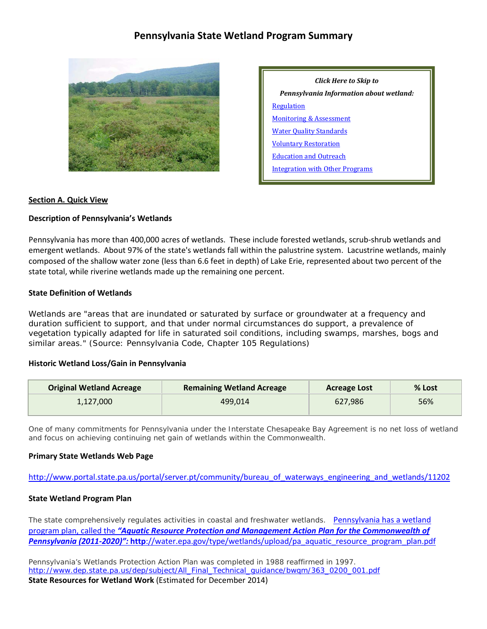# **Pennsylvania State Wetland Program Summary**



| Click Here to Skip to                   |  |  |  |  |  |
|-----------------------------------------|--|--|--|--|--|
| Pennsylvania Information about wetland: |  |  |  |  |  |
| Regulation                              |  |  |  |  |  |
| <b>Monitoring &amp; Assessment</b>      |  |  |  |  |  |
| <b>Water Quality Standards</b>          |  |  |  |  |  |
| <b>Voluntary Restoration</b>            |  |  |  |  |  |
| <b>Education and Outreach</b>           |  |  |  |  |  |
| Integration with Other Programs         |  |  |  |  |  |

### **Section A. Quick View**

### **Description of Pennsylvania's Wetlands**

Pennsylvania has more than 400,000 acres of wetlands. These include forested wetlands, scrub-shrub wetlands and emergent wetlands. About 97% of the state's wetlands fall within the palustrine system. Lacustrine wetlands, mainly composed of the shallow water zone (less than 6.6 feet in depth) of Lake Erie, represented about two percent of the state total, while riverine wetlands made up the remaining one percent.

### **State Definition of Wetlands**

Wetlands are "areas that are inundated or saturated by surface or groundwater at a frequency and duration sufficient to support, and that under normal circumstances do support, a prevalence of vegetation typically adapted for life in saturated soil conditions, including swamps, marshes, bogs and similar areas." (Source: Pennsylvania Code, Chapter 105 Regulations)

#### **Historic Wetland Loss/Gain in Pennsylvania**

| <b>Original Wetland Acreage</b> | <b>Remaining Wetland Acreage</b> | <b>Acreage Lost</b> | % Lost |
|---------------------------------|----------------------------------|---------------------|--------|
| 1,127,000                       | 499.014                          | 627.986             | 56%    |

One of many commitments for Pennsylvania under the Interstate Chesapeake Bay Agreement is no net loss of wetland and focus on achieving continuing net gain of wetlands within the Commonwealth.

#### **Primary State Wetlands Web Page**

[http://www.portal.state.pa.us/portal/server.pt/community/bureau\\_of\\_waterways\\_engineering\\_and\\_wetlands/11202](http://www.portal.state.pa.us/portal/server.pt/community/bureau_of_waterways_engineering_and_wetlands/11202)

#### **State Wetland Program Plan**

The state comprehensively regulates activities in coastal and freshwater wetlands. Pennsylvania has a wetland program plan, called the *"Aquatic Resource Protection and Management Action Plan for the Commonwealth of Pennsylvania (2011-2020)":* **http**://water.epa.gov/type/wetlands/upload/pa\_aquatic\_resource\_program\_plan.pdf

Pennsylvania's Wetlands Protection Action Plan was completed in 1988 reaffirmed in 1997. http://www.dep.state.pa.us/dep/subject/All\_Final\_Technical\_quidance/bwqm/363\_0200\_001.pdf **State Resources for Wetland Work** (Estimated for December 2014)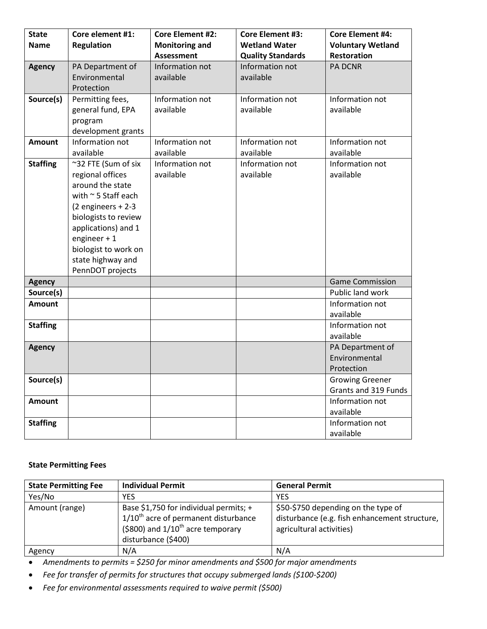| <b>State</b>    | Core element #1:         | <b>Core Element #2:</b> | <b>Core Element #3:</b>  | <b>Core Element #4:</b>  |
|-----------------|--------------------------|-------------------------|--------------------------|--------------------------|
| <b>Name</b>     | <b>Regulation</b>        | <b>Monitoring and</b>   | <b>Wetland Water</b>     | <b>Voluntary Wetland</b> |
|                 |                          | <b>Assessment</b>       | <b>Quality Standards</b> | Restoration              |
| <b>Agency</b>   | PA Department of         | Information not         | Information not          | <b>PA DCNR</b>           |
|                 | Environmental            | available               | available                |                          |
|                 | Protection               |                         |                          |                          |
| Source(s)       | Permitting fees,         | Information not         | Information not          | Information not          |
|                 | general fund, EPA        | available               | available                | available                |
|                 | program                  |                         |                          |                          |
|                 | development grants       |                         |                          |                          |
| <b>Amount</b>   | Information not          | Information not         | Information not          | Information not          |
|                 | available                | available               | available                | available                |
| <b>Staffing</b> | ~32 FTE (Sum of six      | Information not         | Information not          | Information not          |
|                 | regional offices         | available               | available                | available                |
|                 | around the state         |                         |                          |                          |
|                 | with $\sim$ 5 Staff each |                         |                          |                          |
|                 | $(2$ engineers + 2-3     |                         |                          |                          |
|                 | biologists to review     |                         |                          |                          |
|                 | applications) and 1      |                         |                          |                          |
|                 | engineer $+1$            |                         |                          |                          |
|                 | biologist to work on     |                         |                          |                          |
|                 | state highway and        |                         |                          |                          |
|                 | PennDOT projects         |                         |                          |                          |
| <b>Agency</b>   |                          |                         |                          | <b>Game Commission</b>   |
| Source(s)       |                          |                         |                          | Public land work         |
| <b>Amount</b>   |                          |                         |                          | Information not          |
|                 |                          |                         |                          | available                |
| <b>Staffing</b> |                          |                         |                          | Information not          |
|                 |                          |                         |                          | available                |
| <b>Agency</b>   |                          |                         |                          | PA Department of         |
|                 |                          |                         |                          | Environmental            |
|                 |                          |                         |                          | Protection               |
| Source(s)       |                          |                         |                          | <b>Growing Greener</b>   |
|                 |                          |                         |                          | Grants and 319 Funds     |
| <b>Amount</b>   |                          |                         |                          | Information not          |
|                 |                          |                         |                          | available                |
| <b>Staffing</b> |                          |                         |                          | Information not          |
|                 |                          |                         |                          | available                |

# **State Permitting Fees**

| <b>State Permitting Fee</b> | <b>Individual Permit</b>                                                                                                                                      | <b>General Permit</b>                                                                                            |
|-----------------------------|---------------------------------------------------------------------------------------------------------------------------------------------------------------|------------------------------------------------------------------------------------------------------------------|
| Yes/No                      | YES                                                                                                                                                           | YES                                                                                                              |
| Amount (range)              | Base \$1,750 for individual permits; +<br>$1/10$ <sup>th</sup> acre of permanent disturbance<br>(\$800) and $1/10^{th}$ acre temporary<br>disturbance (\$400) | \$50-\$750 depending on the type of<br>disturbance (e.g. fish enhancement structure,<br>agricultural activities) |
| Agency                      | N/A                                                                                                                                                           | N/A                                                                                                              |

• *Amendments to permits = \$250 for minor amendments and \$500 for major amendments*

- *Fee for transfer of permits for structures that occupy submerged lands (\$100-\$200)*
- *Fee for environmental assessments required to waive permit (\$500)*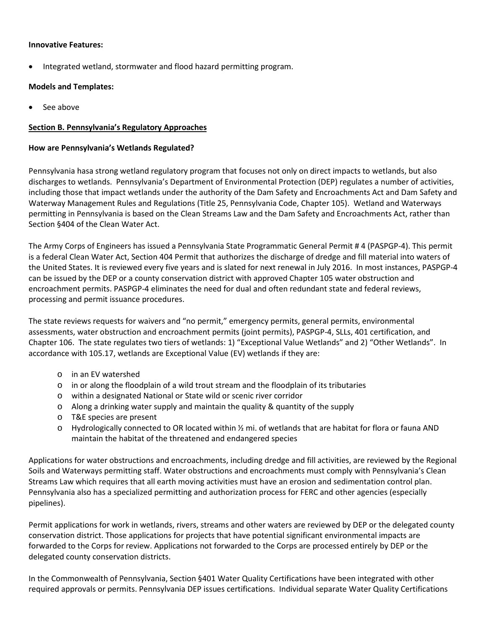## **Innovative Features:**

• Integrated wetland, stormwater and flood hazard permitting program.

## **Models and Templates:**

• See above

## <span id="page-2-0"></span>**Section B. Pennsylvania's Regulatory Approaches**

## **How are Pennsylvania's Wetlands Regulated?**

Pennsylvania hasa strong wetland regulatory program that focuses not only on direct impacts to wetlands, but also discharges to wetlands. Pennsylvania's Department of Environmental Protection (DEP) regulates a number of activities, including those that impact wetlands under the authority of the Dam Safety and Encroachments Act and Dam Safety and Waterway Management Rules and Regulations (Title 25, Pennsylvania Code, Chapter 105). Wetland and Waterways permitting in Pennsylvania is based on the Clean Streams Law and the Dam Safety and Encroachments Act, rather than Section §404 of the Clean Water Act.

The Army Corps of Engineers has issued a Pennsylvania State Programmatic General Permit # 4 (PASPGP-4). This permit is a federal Clean Water Act, Section 404 Permit that authorizes the discharge of dredge and fill material into waters of the United States. It is reviewed every five years and is slated for next renewal in July 2016. In most instances, PASPGP-4 can be issued by the DEP or a county conservation district with approved Chapter 105 water obstruction and encroachment permits. PASPGP-4 eliminates the need for dual and often redundant state and federal reviews, processing and permit issuance procedures.

The state reviews requests for waivers and "no permit," emergency permits, general permits, environmental assessments, water obstruction and encroachment permits (joint permits), PASPGP-4, SLLs, 401 certification, and Chapter 106. The state regulates two tiers of wetlands: 1) "Exceptional Value Wetlands" and 2) "Other Wetlands". In accordance with 105.17, wetlands are Exceptional Value (EV) wetlands if they are:

- o in an EV watershed
- $\circ$  in or along the floodplain of a wild trout stream and the floodplain of its tributaries
- o within a designated National or State wild or scenic river corridor
- o Along a drinking water supply and maintain the quality & quantity of the supply
- o T&E species are present
- o Hydrologically connected to OR located within ½ mi. of wetlands that are habitat for flora or fauna AND maintain the habitat of the threatened and endangered species

Applications for water obstructions and encroachments, including dredge and fill activities, are reviewed by the Regional Soils and Waterways permitting staff. Water obstructions and encroachments must comply with Pennsylvania's Clean Streams Law which requires that all earth moving activities must have an erosion and sedimentation control plan. Pennsylvania also has a specialized permitting and authorization process for FERC and other agencies (especially pipelines).

Permit applications for work in wetlands, rivers, streams and other waters are reviewed by DEP or the delegated county conservation district. Those applications for projects that have potential significant environmental impacts are forwarded to the Corps for review. Applications not forwarded to the Corps are processed entirely by DEP or the delegated county conservation districts.

In the Commonwealth of Pennsylvania, Section §401 Water Quality Certifications have been integrated with other required approvals or permits. Pennsylvania DEP issues certifications. Individual separate Water Quality Certifications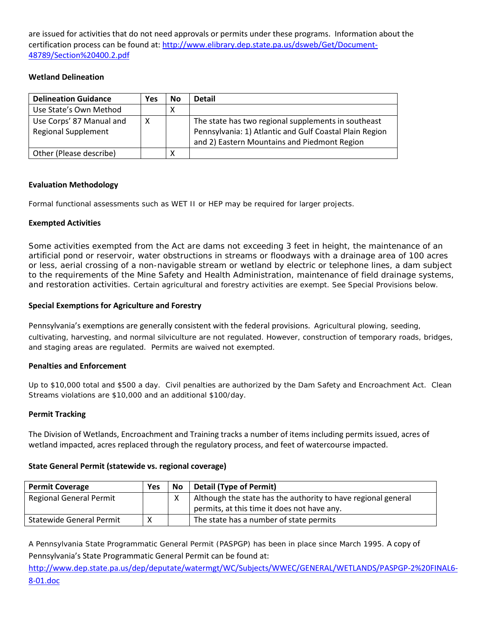are issued for activities that do not need approvals or permits under these programs. Information about the certification process can be found at: [http://www.elibrary.dep.state.pa.us/dsweb/Get/Document-](http://www.elibrary.dep.state.pa.us/dsweb/Get/Document-48789/Section%20400.2.pdf)[48789/Section%20400.2.pdf](http://www.elibrary.dep.state.pa.us/dsweb/Get/Document-48789/Section%20400.2.pdf)

## **Wetland Delineation**

| <b>Delineation Guidance</b>                            | Yes | No | <b>Detail</b>                                                                                                                                                  |
|--------------------------------------------------------|-----|----|----------------------------------------------------------------------------------------------------------------------------------------------------------------|
| Use State's Own Method                                 |     | Χ  |                                                                                                                                                                |
| Use Corps' 87 Manual and<br><b>Regional Supplement</b> | х   |    | The state has two regional supplements in southeast<br>Pennsylvania: 1) Atlantic and Gulf Coastal Plain Region<br>and 2) Eastern Mountains and Piedmont Region |
| Other (Please describe)                                |     | х  |                                                                                                                                                                |

## **Evaluation Methodology**

Formal functional assessments such as WET II or HEP may be required for larger projects.

## **Exempted Activities**

Some activities exempted from the Act are dams not exceeding 3 feet in height, the maintenance of an artificial pond or reservoir, water obstructions in streams or floodways with a drainage area of 100 acres or less, aerial crossing of a non-navigable stream or wetland by electric or telephone lines, a dam subject to the requirements of the Mine Safety and Health Administration, maintenance of field drainage systems, and restoration activities. Certain agricultural and forestry activities are exempt. See Special Provisions below.

## **Special Exemptions for Agriculture and Forestry**

Pennsylvania's exemptions are generally consistent with the federal provisions. Agricultural plowing, seeding, cultivating, harvesting, and normal silviculture are not regulated. However, construction of temporary roads, bridges, and staging areas are regulated. Permits are waived not exempted.

## **Penalties and Enforcement**

Up to \$10,000 total and \$500 a day. Civil penalties are authorized by the Dam Safety and Encroachment Act. Clean Streams violations are \$10,000 and an additional \$100/day.

## **Permit Tracking**

The Division of Wetlands, Encroachment and Training tracks a number of items including permits issued, acres of wetland impacted, acres replaced through the regulatory process, and feet of watercourse impacted.

## **State General Permit (statewide vs. regional coverage)**

| <b>Permit Coverage</b>          | <b>Yes</b> | <b>No</b> | <b>Detail (Type of Permit)</b>                                |
|---------------------------------|------------|-----------|---------------------------------------------------------------|
| Regional General Permit         |            |           | Although the state has the authority to have regional general |
|                                 |            |           | permits, at this time it does not have any.                   |
| <b>Statewide General Permit</b> | Χ          |           | The state has a number of state permits                       |

A Pennsylvania State Programmatic General Permit (PASPGP) has been in place since March 1995. A copy of Pennsylvania's State Programmatic General Permit can be found at:

[http://www.dep.state.pa.us/dep/deputate/watermgt/WC/Subjects/WWEC/GENERAL/WETLANDS/PASPGP-2%20FINAL6-](http://www.dep.state.pa.us/dep/deputate/watermgt/WC/Subjects/WWEC/GENERAL/WETLANDS/PASPGP-2%20FINAL6-8-01.doc) [8-01.doc](http://www.dep.state.pa.us/dep/deputate/watermgt/WC/Subjects/WWEC/GENERAL/WETLANDS/PASPGP-2%20FINAL6-8-01.doc)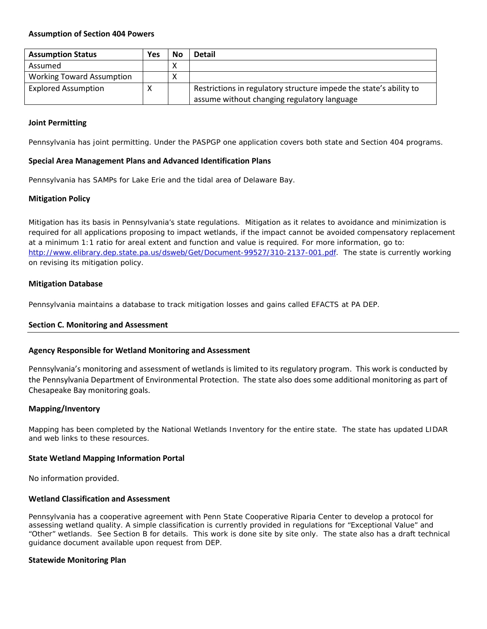#### **Assumption of Section 404 Powers**

| <b>Assumption Status</b>         | <b>Yes</b> | No | <b>Detail</b>                                                      |
|----------------------------------|------------|----|--------------------------------------------------------------------|
| Assumed                          |            |    |                                                                    |
| <b>Working Toward Assumption</b> |            | ́  |                                                                    |
| <b>Explored Assumption</b>       |            |    | Restrictions in regulatory structure impede the state's ability to |
|                                  |            |    | assume without changing regulatory language                        |

#### **Joint Permitting**

Pennsylvania has joint permitting. Under the PASPGP one application covers both state and Section 404 programs.

#### **Special Area Management Plans and Advanced Identification Plans**

Pennsylvania has SAMPs for Lake Erie and the tidal area of Delaware Bay.

### **Mitigation Policy**

Mitigation has its basis in Pennsylvania's state regulations. Mitigation as it relates to avoidance and minimization is required for all applications proposing to impact wetlands, if the impact cannot be avoided compensatory replacement at a minimum 1:1 ratio for areal extent and function and value is required. For more information, go to: [http://www.elibrary.dep.state.pa.us/dsweb/Get/Document-99527/310-2137-001.pdf.](http://www.elibrary.dep.state.pa.us/dsweb/Get/Document-99527/310-2137-001.pdf) The state is currently working on revising its mitigation policy.

### **Mitigation Database**

Pennsylvania maintains a database to track mitigation losses and gains called EFACTS at PA DEP.

#### <span id="page-4-0"></span>**Section C. Monitoring and Assessment**

#### **Agency Responsible for Wetland Monitoring and Assessment**

Pennsylvania's monitoring and assessment of wetlands is limited to its regulatory program. This work is conducted by the Pennsylvania Department of Environmental Protection. The state also does some additional monitoring as part of Chesapeake Bay monitoring goals.

#### **Mapping/Inventory**

Mapping has been completed by the National Wetlands Inventory for the entire state. The state has updated LIDAR and web links to these resources.

#### **State Wetland Mapping Information Portal**

No information provided.

#### **Wetland Classification and Assessment**

Pennsylvania has a cooperative agreement with Penn State Cooperative Riparia Center to develop a protocol for assessing wetland quality. A simple classification is currently provided in regulations for "Exceptional Value" and "Other" wetlands. See Section B for details. This work is done site by site only. The state also has a draft technical guidance document available upon request from DEP.

#### **Statewide Monitoring Plan**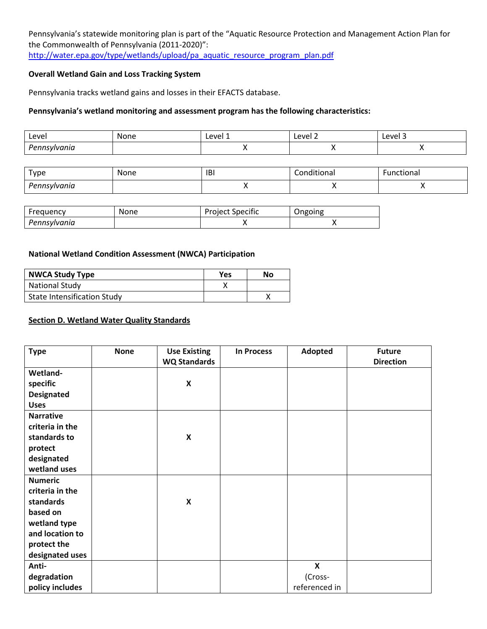Pennsylvania's statewide monitoring plan is part of the "Aquatic Resource Protection and Management Action Plan for the Commonwealth of Pennsylvania (2011-2020)": [http://water.epa.gov/type/wetlands/upload/pa\\_aquatic\\_resource\\_program\\_plan.pdf](http://water.epa.gov/type/wetlands/upload/pa_aquatic_resource_program_plan.pdf)

## **Overall Wetland Gain and Loss Tracking System**

Pennsylvania tracks wetland gains and losses in their EFACTS database.

## **Pennsylvania's wetland monitoring and assessment program has the following characteristics:**

| Level                                | None | Level<br>. .  | eve<br>Level 3<br>LUVUL |  |
|--------------------------------------|------|---------------|-------------------------|--|
| Do<br>10000<br>anio<br>$\sim$ $\sim$ |      | $\sim$ $\sim$ | $\cdots$                |  |

| Type                            | None<br>___ | <b>IBI</b> | .<br>$+1000$<br>uunai | ctional |
|---------------------------------|-------------|------------|-----------------------|---------|
| Don<br><sup>y</sup> ennsylvanıa |             |            | . .                   |         |

| Freauencv    | None | <b>Project Specific</b> | Ongoing |
|--------------|------|-------------------------|---------|
| Pennsylvania |      |                         |         |

## **National Wetland Condition Assessment (NWCA) Participation**

| <b>NWCA Study Type</b>             | Yes | No |
|------------------------------------|-----|----|
| <b>National Study</b>              |     |    |
| <b>State Intensification Study</b> |     |    |

#### <span id="page-5-0"></span>**Section D. Wetland Water Quality Standards**

| <b>Type</b>       | <b>None</b> | <b>Use Existing</b>       | <b>In Process</b> | <b>Adopted</b>            | <b>Future</b>    |
|-------------------|-------------|---------------------------|-------------------|---------------------------|------------------|
|                   |             | <b>WQ Standards</b>       |                   |                           | <b>Direction</b> |
| Wetland-          |             |                           |                   |                           |                  |
| specific          |             | $\boldsymbol{\mathsf{X}}$ |                   |                           |                  |
| <b>Designated</b> |             |                           |                   |                           |                  |
| <b>Uses</b>       |             |                           |                   |                           |                  |
| <b>Narrative</b>  |             |                           |                   |                           |                  |
| criteria in the   |             |                           |                   |                           |                  |
| standards to      |             | $\boldsymbol{\mathsf{X}}$ |                   |                           |                  |
| protect           |             |                           |                   |                           |                  |
| designated        |             |                           |                   |                           |                  |
| wetland uses      |             |                           |                   |                           |                  |
| <b>Numeric</b>    |             |                           |                   |                           |                  |
| criteria in the   |             |                           |                   |                           |                  |
| standards         |             | $\pmb{\mathsf{X}}$        |                   |                           |                  |
| based on          |             |                           |                   |                           |                  |
| wetland type      |             |                           |                   |                           |                  |
| and location to   |             |                           |                   |                           |                  |
| protect the       |             |                           |                   |                           |                  |
| designated uses   |             |                           |                   |                           |                  |
| Anti-             |             |                           |                   | $\boldsymbol{\mathsf{x}}$ |                  |
| degradation       |             |                           |                   | (Cross-                   |                  |
| policy includes   |             |                           |                   | referenced in             |                  |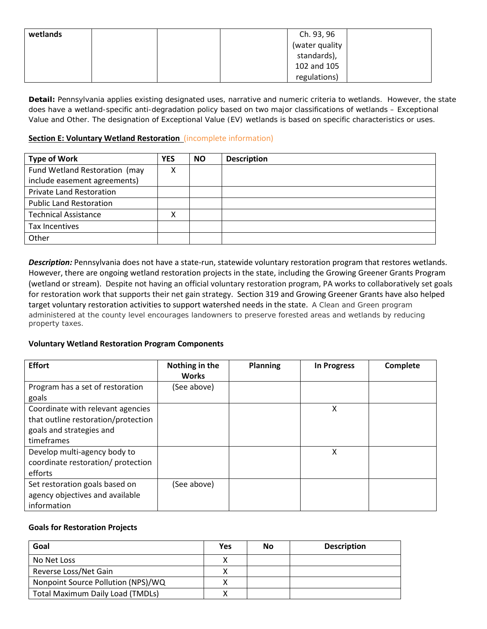| wetlands | Ch. 93, 96     |
|----------|----------------|
|          | (water quality |
|          | standards),    |
|          | 102 and 105    |
|          | regulations)   |

*Detail:* Pennsylvania applies existing designated uses, narrative and numeric criteria to wetlands. However, the state does have a wetland-specific anti-degradation policy based on two major classifications of wetlands – Exceptional Value and Other. The designation of Exceptional Value (EV) wetlands is based on specific characteristics or uses.

## <span id="page-6-0"></span>**Section E: Voluntary Wetland Restoration** (incomplete information)

| <b>Type of Work</b>             | <b>YES</b> | <b>NO</b> | <b>Description</b> |
|---------------------------------|------------|-----------|--------------------|
| Fund Wetland Restoration (may   | х          |           |                    |
| include easement agreements)    |            |           |                    |
| <b>Private Land Restoration</b> |            |           |                    |
| <b>Public Land Restoration</b>  |            |           |                    |
| <b>Technical Assistance</b>     | х          |           |                    |
| Tax Incentives                  |            |           |                    |
| Other                           |            |           |                    |

*Description:* Pennsylvania does not have a state-run, statewide voluntary restoration program that restores wetlands. However, there are ongoing wetland restoration projects in the state, including the Growing Greener Grants Program (wetland or stream). Despite not having an official voluntary restoration program, PA works to collaboratively set goals for restoration work that supports their net gain strategy. Section 319 and Growing Greener Grants have also helped target voluntary restoration activities to support watershed needs in the state. A Clean and Green program administered at the county level encourages landowners to preserve forested areas and wetlands by reducing property taxes.

## **Voluntary Wetland Restoration Program Components**

| <b>Effort</b>                                                                                                      | Nothing in the<br><b>Works</b> | <b>Planning</b> | <b>In Progress</b> | Complete |
|--------------------------------------------------------------------------------------------------------------------|--------------------------------|-----------------|--------------------|----------|
| Program has a set of restoration<br>goals                                                                          | (See above)                    |                 |                    |          |
| Coordinate with relevant agencies<br>that outline restoration/protection<br>goals and strategies and<br>timeframes |                                |                 | Χ                  |          |
| Develop multi-agency body to<br>coordinate restoration/ protection<br>efforts                                      |                                |                 | X                  |          |
| Set restoration goals based on<br>agency objectives and available<br>information                                   | (See above)                    |                 |                    |          |

## **Goals for Restoration Projects**

| Goal                                    | Yes | No | <b>Description</b> |
|-----------------------------------------|-----|----|--------------------|
| No Net Loss                             |     |    |                    |
| Reverse Loss/Net Gain                   |     |    |                    |
| Nonpoint Source Pollution (NPS)/WQ      |     |    |                    |
| <b>Total Maximum Daily Load (TMDLs)</b> |     |    |                    |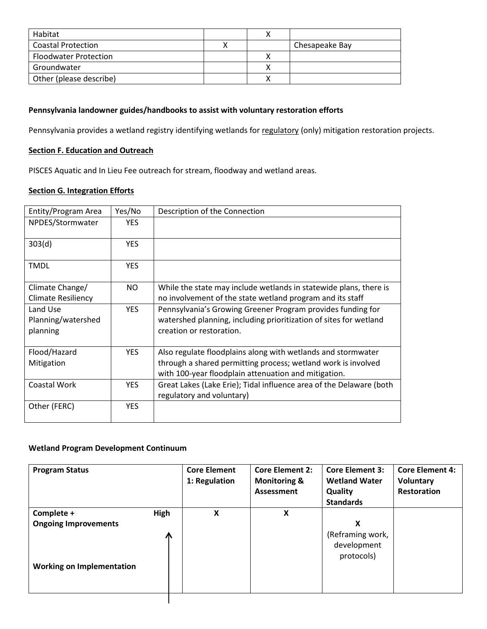| Habitat                      |  |                |
|------------------------------|--|----------------|
| <b>Coastal Protection</b>    |  | Chesapeake Bay |
| <b>Floodwater Protection</b> |  |                |
| Groundwater                  |  |                |
| Other (please describe)      |  |                |

## **Pennsylvania landowner guides/handbooks to assist with voluntary restoration efforts**

Pennsylvania provides a wetland registry identifying wetlands for regulatory (only) mitigation restoration projects.

## <span id="page-7-0"></span>**Section F. Education and Outreach**

PISCES Aquatic and In Lieu Fee outreach for stream, floodway and wetland areas.

# <span id="page-7-1"></span>**Section G. Integration Efforts**

| Entity/Program Area       | Yes/No     | Description of the Connection                                       |
|---------------------------|------------|---------------------------------------------------------------------|
| NPDES/Stormwater          | <b>YES</b> |                                                                     |
| 303(d)                    | <b>YES</b> |                                                                     |
| <b>TMDL</b>               | <b>YES</b> |                                                                     |
| Climate Change/           | NO.        | While the state may include wetlands in statewide plans, there is   |
| <b>Climate Resiliency</b> |            | no involvement of the state wetland program and its staff           |
| Land Use                  | <b>YES</b> | Pennsylvania's Growing Greener Program provides funding for         |
| Planning/watershed        |            | watershed planning, including prioritization of sites for wetland   |
| planning                  |            | creation or restoration.                                            |
|                           |            |                                                                     |
| Flood/Hazard              | <b>YES</b> | Also regulate floodplains along with wetlands and stormwater        |
| Mitigation                |            | through a shared permitting process; wetland work is involved       |
|                           |            | with 100-year floodplain attenuation and mitigation.                |
| Coastal Work              | <b>YES</b> | Great Lakes (Lake Erie); Tidal influence area of the Delaware (both |
|                           |            | regulatory and voluntary)                                           |
| Other (FERC)              | <b>YES</b> |                                                                     |

## **Wetland Program Development Continuum**

| High<br>Complete +<br>x<br>X<br><b>Ongoing Improvements</b><br>Л | 1: Regulation | <b>Wetland Water</b><br><b>Monitoring &amp;</b><br>Assessment<br>Quality<br><b>Standards</b> | <b>Voluntary</b><br><b>Restoration</b> |
|------------------------------------------------------------------|---------------|----------------------------------------------------------------------------------------------|----------------------------------------|
| <b>Working on Implementation</b>                                 |               | x<br>(Reframing work,<br>development<br>protocols)                                           |                                        |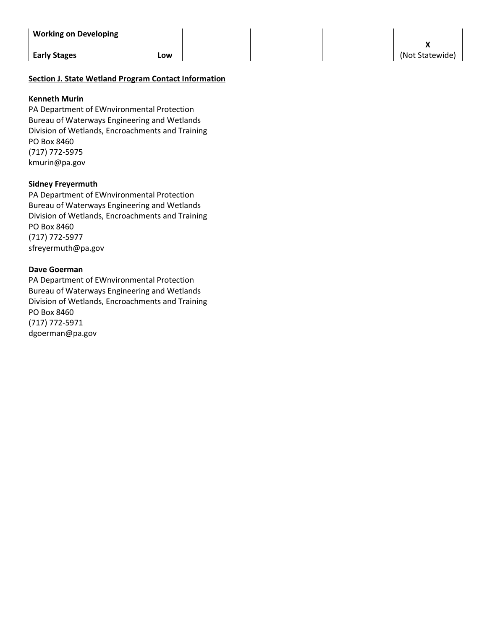| <b>Working on Developing</b> |     |  |                 |
|------------------------------|-----|--|-----------------|
| <b>Early Stages</b>          | LOW |  | (Not Statewide) |
|                              |     |  |                 |

## **Section J. State Wetland Program Contact Information**

#### **Kenneth Murin**

PA Department of EWnvironmental Protection Bureau of Waterways Engineering and Wetlands Division of Wetlands, Encroachments and Training PO Box 8460 (717) 772-5975 kmurin@pa.gov

### **Sidney Freyermuth**

PA Department of EWnvironmental Protection Bureau of Waterways Engineering and Wetlands Division of Wetlands, Encroachments and Training PO Box 8460 (717) 772-5977 sfreyermuth@pa.gov

### **Dave Goerman**

PA Department of EWnvironmental Protection Bureau of Waterways Engineering and Wetlands Division of Wetlands, Encroachments and Training PO Box 8460 (717) 772-5971 dgoerman@pa.gov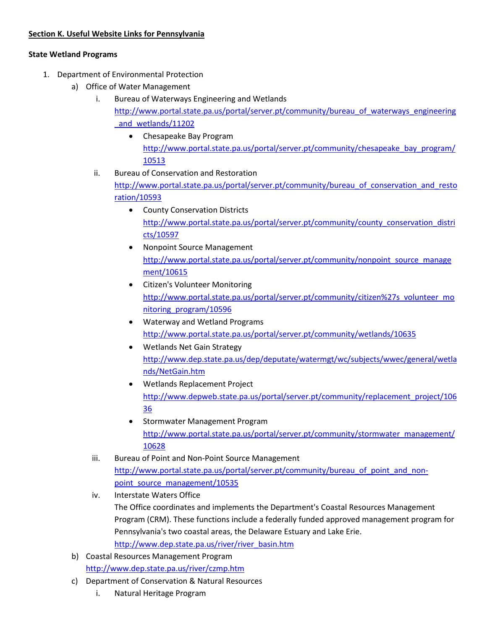## **State Wetland Programs**

- 1. Department of Environmental Protection
	- a) Office of Water Management
		- i. Bureau of Waterways Engineering and Wetlands [http://www.portal.state.pa.us/portal/server.pt/community/bureau\\_of\\_waterways\\_engineering](http://www.portal.state.pa.us/portal/server.pt/community/bureau_of_waterways_engineering_and_wetlands/11202) and wetlands/11202
			- Chesapeake Bay Program [http://www.portal.state.pa.us/portal/server.pt/community/chesapeake\\_bay\\_program/](http://www.portal.state.pa.us/portal/server.pt/community/chesapeake_bay_program/10513) [10513](http://www.portal.state.pa.us/portal/server.pt/community/chesapeake_bay_program/10513)
		- ii. Bureau of Conservation and Restoration

[http://www.portal.state.pa.us/portal/server.pt/community/bureau\\_of\\_conservation\\_and\\_resto](http://www.portal.state.pa.us/portal/server.pt/community/bureau_of_conservation_and_restoration/10593) [ration/10593](http://www.portal.state.pa.us/portal/server.pt/community/bureau_of_conservation_and_restoration/10593)

- County Conservation Districts [http://www.portal.state.pa.us/portal/server.pt/community/county\\_conservation\\_distri](http://www.portal.state.pa.us/portal/server.pt/community/county_conservation_districts/10597) [cts/10597](http://www.portal.state.pa.us/portal/server.pt/community/county_conservation_districts/10597)
- Nonpoint Source Management [http://www.portal.state.pa.us/portal/server.pt/community/nonpoint\\_source\\_manage](http://www.portal.state.pa.us/portal/server.pt/community/nonpoint_source_management/10615) [ment/10615](http://www.portal.state.pa.us/portal/server.pt/community/nonpoint_source_management/10615)
- Citizen's Volunteer Monitoring [http://www.portal.state.pa.us/portal/server.pt/community/citizen%27s\\_volunteer\\_mo](http://www.portal.state.pa.us/portal/server.pt/community/citizen%27s_volunteer_monitoring_program/10596) nitoring program/10596
- Waterway and Wetland Programs <http://www.portal.state.pa.us/portal/server.pt/community/wetlands/10635>
- Wetlands Net Gain Strategy [http://www.dep.state.pa.us/dep/deputate/watermgt/wc/subjects/wwec/general/wetla](http://www.dep.state.pa.us/dep/deputate/watermgt/wc/subjects/wwec/general/wetlands/NetGain.htm) [nds/NetGain.htm](http://www.dep.state.pa.us/dep/deputate/watermgt/wc/subjects/wwec/general/wetlands/NetGain.htm)
- Wetlands Replacement Project [http://www.depweb.state.pa.us/portal/server.pt/community/replacement\\_project/106](http://www.depweb.state.pa.us/portal/server.pt/community/replacement_project/10636) [36](http://www.depweb.state.pa.us/portal/server.pt/community/replacement_project/10636)
- Stormwater Management Program [http://www.portal.state.pa.us/portal/server.pt/community/stormwater\\_management/](http://www.portal.state.pa.us/portal/server.pt/community/stormwater_management/10628) [10628](http://www.portal.state.pa.us/portal/server.pt/community/stormwater_management/10628)
- iii. Bureau of Point and Non-Point Source Management [http://www.portal.state.pa.us/portal/server.pt/community/bureau\\_of\\_point\\_and\\_non](http://www.portal.state.pa.us/portal/server.pt/community/bureau_of_point_and_non-point_source_management/10535)[point\\_source\\_management/10535](http://www.portal.state.pa.us/portal/server.pt/community/bureau_of_point_and_non-point_source_management/10535)
- iv. Interstate Waters Office The Office coordinates and implements the Department's Coastal Resources Management Program (CRM). These functions include a federally funded approved management program for Pennsylvania's two coastal areas, the Delaware Estuary and Lake Erie. [http://www.dep.state.pa.us/river/river\\_basin.htm](http://www.dep.state.pa.us/river/river_basin.htm)
- b) Coastal Resources Management Program <http://www.dep.state.pa.us/river/czmp.htm>
- c) Department of Conservation & Natural Resources
	- i. Natural Heritage Program